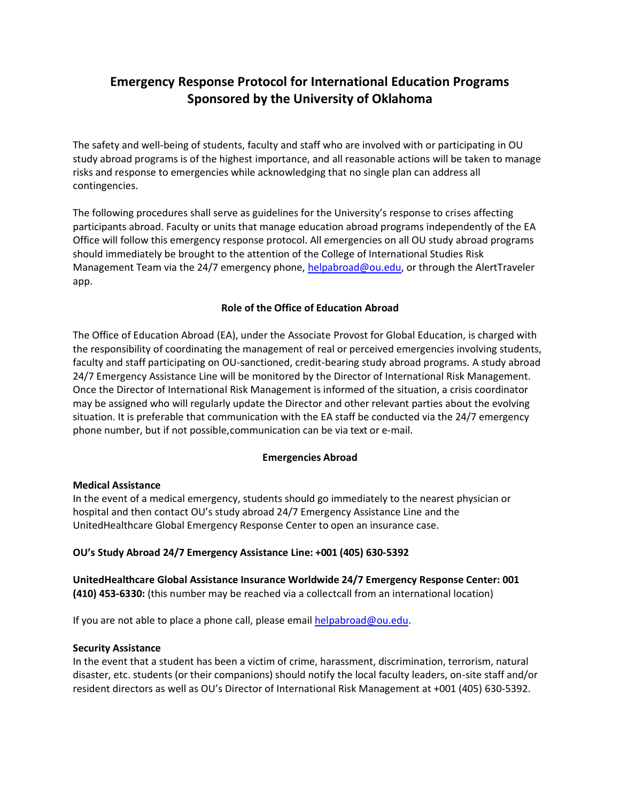# **Emergency Response Protocol for International Education Programs Sponsored by the University of Oklahoma**

The safety and well-being of students, faculty and staff who are involved with or participating in OU study abroad programs is of the highest importance, and all reasonable actions will be taken to manage risks and response to emergencies while acknowledging that no single plan can address all contingencies.

The following procedures shall serve as guidelines for the University's response to crises affecting participants abroad. Faculty or units that manage education abroad programs independently of the EA Office will follow this emergency response protocol. All emergencies on all OU study abroad programs should immediately be brought to the attention of the College of International Studies Risk Management Team via the 24/7 emergency phone, [helpabroad@ou.edu,](mailto:helpabroad@ou.edu) or through the AlertTraveler app.

## **Role of the Office of Education Abroad**

The Office of Education Abroad (EA), under the Associate Provost for Global Education, is charged with the responsibility of coordinating the management of real or perceived emergencies involving students, faculty and staff participating on OU-sanctioned, credit-bearing study abroad programs. A study abroad 24/7 Emergency Assistance Line will be monitored by the Director of International Risk Management. Once the Director of International Risk Management is informed of the situation, a crisis coordinator may be assigned who will regularly update the Director and other relevant parties about the evolving situation. It is preferable that communication with the EA staff be conducted via the 24/7 emergency phone number, but if not possible,communication can be via text or e-mail.

## **Emergencies Abroad**

## **Medical Assistance**

In the event of a medical emergency, students should go immediately to the nearest physician or hospital and then contact OU's study abroad 24/7 Emergency Assistance Line and the UnitedHealthcare Global Emergency Response Center to open an insurance case.

## **OU's Study Abroad 24/7 Emergency Assistance Line: +001 (405) 630-5392**

**UnitedHealthcare Global Assistance Insurance Worldwide 24/7 Emergency Response Center: 001 (410) 453-6330:** (this number may be reached via a collectcall from an international location)

If you are not able to place a phone call, please email  $helpaboroad@ou.edu$ .

## **Security Assistance**

In the event that a student has been a victim of crime, harassment, discrimination, terrorism, natural disaster, etc. students (or their companions) should notify the local faculty leaders, on-site staff and/or resident directors as well as OU's Director of International Risk Management at +001 (405) 630-5392.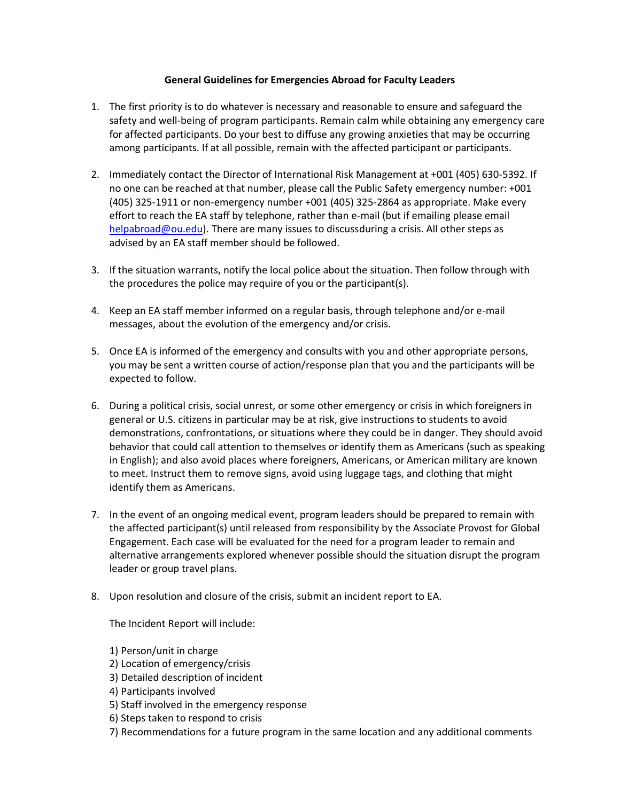## **General Guidelines for Emergencies Abroad for Faculty Leaders**

- 1. The first priority is to do whatever is necessary and reasonable to ensure and safeguard the safety and well-being of program participants. Remain calm while obtaining any emergency care for affected participants. Do your best to diffuse any growing anxieties that may be occurring among participants. If at all possible, remain with the affected participant or participants.
- 2. Immediately contact the Director of International Risk Management at +001 (405) 630-5392. If no one can be reached at that number, please call the Public Safety emergency number: +001 (405) 325-1911 or non-emergency number +001 (405) 325-2864 as appropriate. Make every effort to reach the EA staff by telephone, rather than e-mail (but if emailing please email [helpabroad@ou.edu\)](mailto:helpabroad@ou.edu). There are many issues to discussduring a crisis. All other steps as advised by an EA staff member should be followed.
- 3. If the situation warrants, notify the local police about the situation. Then follow through with the procedures the police may require of you or the participant(s).
- 4. Keep an EA staff member informed on a regular basis, through telephone and/or e-mail messages, about the evolution of the emergency and/or crisis.
- 5. Once EA is informed of the emergency and consults with you and other appropriate persons, you may be sent a written course of action/response plan that you and the participants will be expected to follow.
- 6. During a political crisis, social unrest, or some other emergency or crisis in which foreigners in general or U.S. citizens in particular may be at risk, give instructions to students to avoid demonstrations, confrontations, or situations where they could be in danger. They should avoid behavior that could call attention to themselves or identify them as Americans (such as speaking in English); and also avoid places where foreigners, Americans, or American military are known to meet. Instruct them to remove signs, avoid using luggage tags, and clothing that might identify them as Americans.
- 7. In the event of an ongoing medical event, program leaders should be prepared to remain with the affected participant(s) until released from responsibility by the Associate Provost for Global Engagement. Each case will be evaluated for the need for a program leader to remain and alternative arrangements explored whenever possible should the situation disrupt the program leader or group travel plans.
- 8. Upon resolution and closure of the crisis, submit an incident report to EA.

The Incident Report will include:

- 1) Person/unit in charge
- 2) Location of emergency/crisis
- 3) Detailed description of incident
- 4) Participants involved
- 5) Staff involved in the emergency response
- 6) Steps taken to respond to crisis
- 7) Recommendations for a future program in the same location and any additional comments